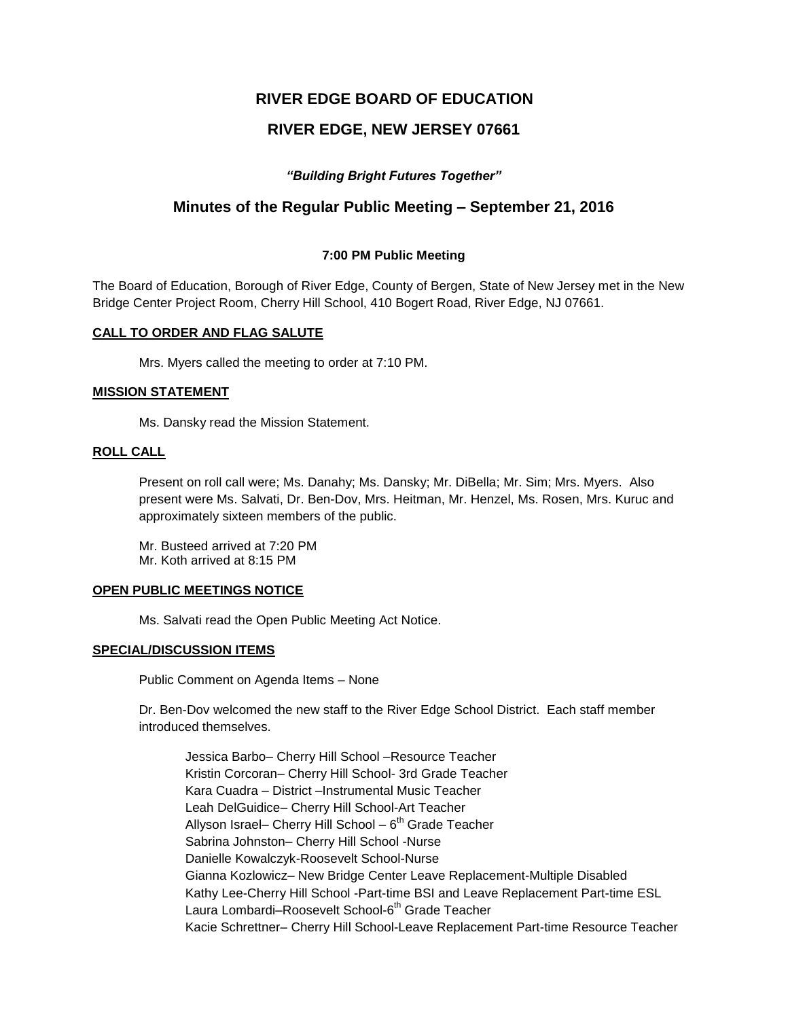# **RIVER EDGE BOARD OF EDUCATION**

# **RIVER EDGE, NEW JERSEY 07661**

## *"Building Bright Futures Together"*

## **Minutes of the Regular Public Meeting – September 21, 2016**

### **7:00 PM Public Meeting**

The Board of Education, Borough of River Edge, County of Bergen, State of New Jersey met in the New Bridge Center Project Room, Cherry Hill School, 410 Bogert Road, River Edge, NJ 07661.

### **CALL TO ORDER AND FLAG SALUTE**

Mrs. Myers called the meeting to order at 7:10 PM.

### **MISSION STATEMENT**

Ms. Dansky read the Mission Statement.

### **ROLL CALL**

Present on roll call were; Ms. Danahy; Ms. Dansky; Mr. DiBella; Mr. Sim; Mrs. Myers. Also present were Ms. Salvati, Dr. Ben-Dov, Mrs. Heitman, Mr. Henzel, Ms. Rosen, Mrs. Kuruc and approximately sixteen members of the public.

Mr. Busteed arrived at 7:20 PM Mr. Koth arrived at 8:15 PM

#### **OPEN PUBLIC MEETINGS NOTICE**

Ms. Salvati read the Open Public Meeting Act Notice.

## **SPECIAL/DISCUSSION ITEMS**

Public Comment on Agenda Items – None

Dr. Ben-Dov welcomed the new staff to the River Edge School District. Each staff member introduced themselves.

Jessica Barbo– Cherry Hill School –Resource Teacher Kristin Corcoran– Cherry Hill School- 3rd Grade Teacher Kara Cuadra – District –Instrumental Music Teacher Leah DelGuidice– Cherry Hill School-Art Teacher Allyson Israel– Cherry Hill School – 6<sup>th</sup> Grade Teacher Sabrina Johnston– Cherry Hill School -Nurse Danielle Kowalczyk-Roosevelt School-Nurse Gianna Kozlowicz– New Bridge Center Leave Replacement-Multiple Disabled Kathy Lee-Cherry Hill School -Part-time BSI and Leave Replacement Part-time ESL Laura Lombardi–Roosevelt School-6<sup>th</sup> Grade Teacher Kacie Schrettner– Cherry Hill School-Leave Replacement Part-time Resource Teacher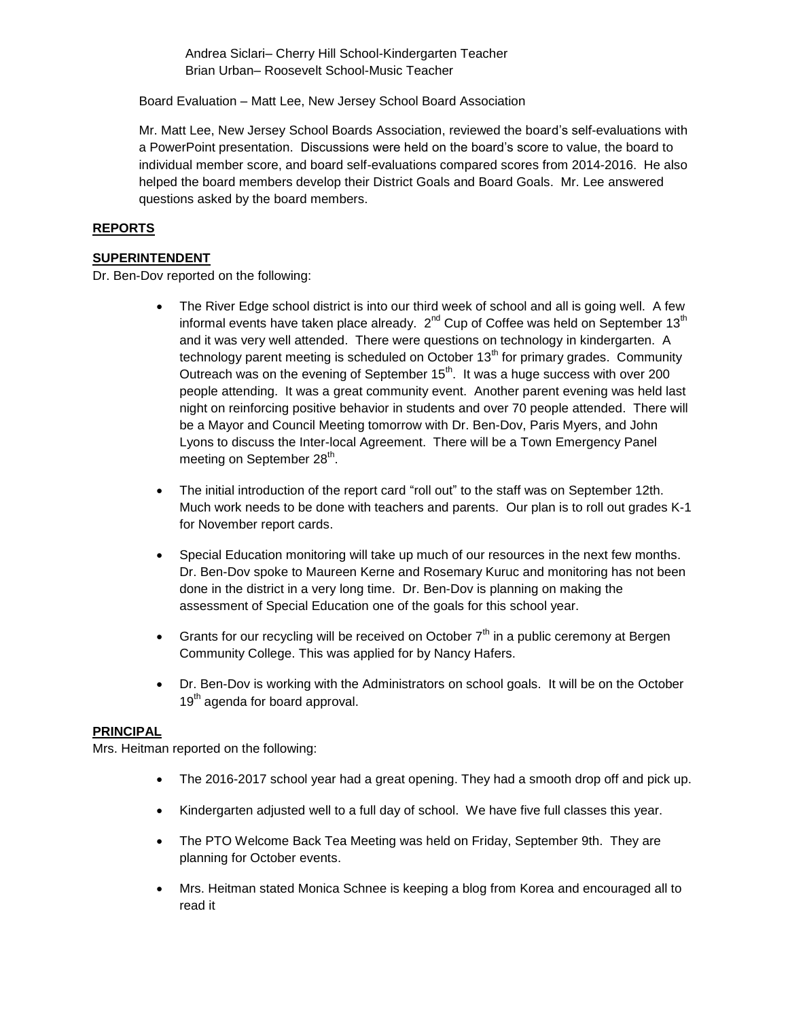Andrea Siclari– Cherry Hill School-Kindergarten Teacher Brian Urban– Roosevelt School-Music Teacher

Board Evaluation – Matt Lee, New Jersey School Board Association

Mr. Matt Lee, New Jersey School Boards Association, reviewed the board's self-evaluations with a PowerPoint presentation. Discussions were held on the board's score to value, the board to individual member score, and board self-evaluations compared scores from 2014-2016. He also helped the board members develop their District Goals and Board Goals. Mr. Lee answered questions asked by the board members.

## **REPORTS**

## **SUPERINTENDENT**

Dr. Ben-Dov reported on the following:

- The River Edge school district is into our third week of school and all is going well. A few informal events have taken place already.  $2^{nd}$  Cup of Coffee was held on September 13<sup>th</sup> and it was very well attended. There were questions on technology in kindergarten. A technology parent meeting is scheduled on October  $13<sup>th</sup>$  for primary grades. Community Outreach was on the evening of September 15<sup>th</sup>. It was a huge success with over 200 people attending. It was a great community event. Another parent evening was held last night on reinforcing positive behavior in students and over 70 people attended. There will be a Mayor and Council Meeting tomorrow with Dr. Ben-Dov, Paris Myers, and John Lyons to discuss the Inter-local Agreement. There will be a Town Emergency Panel meeting on September 28<sup>th</sup>.
- The initial introduction of the report card "roll out" to the staff was on September 12th. Much work needs to be done with teachers and parents. Our plan is to roll out grades K-1 for November report cards.
- Special Education monitoring will take up much of our resources in the next few months. Dr. Ben-Dov spoke to Maureen Kerne and Rosemary Kuruc and monitoring has not been done in the district in a very long time. Dr. Ben-Dov is planning on making the assessment of Special Education one of the goals for this school year.
- Grants for our recycling will be received on October  $7<sup>th</sup>$  in a public ceremony at Bergen Community College. This was applied for by Nancy Hafers.
- Dr. Ben-Dov is working with the Administrators on school goals. It will be on the October 19<sup>th</sup> agenda for board approval.

#### **PRINCIPAL**

Mrs. Heitman reported on the following:

- The 2016-2017 school year had a great opening. They had a smooth drop off and pick up.
- Kindergarten adjusted well to a full day of school. We have five full classes this year.
- The PTO Welcome Back Tea Meeting was held on Friday, September 9th. They are planning for October events.
- Mrs. Heitman stated Monica Schnee is keeping a blog from Korea and encouraged all to read it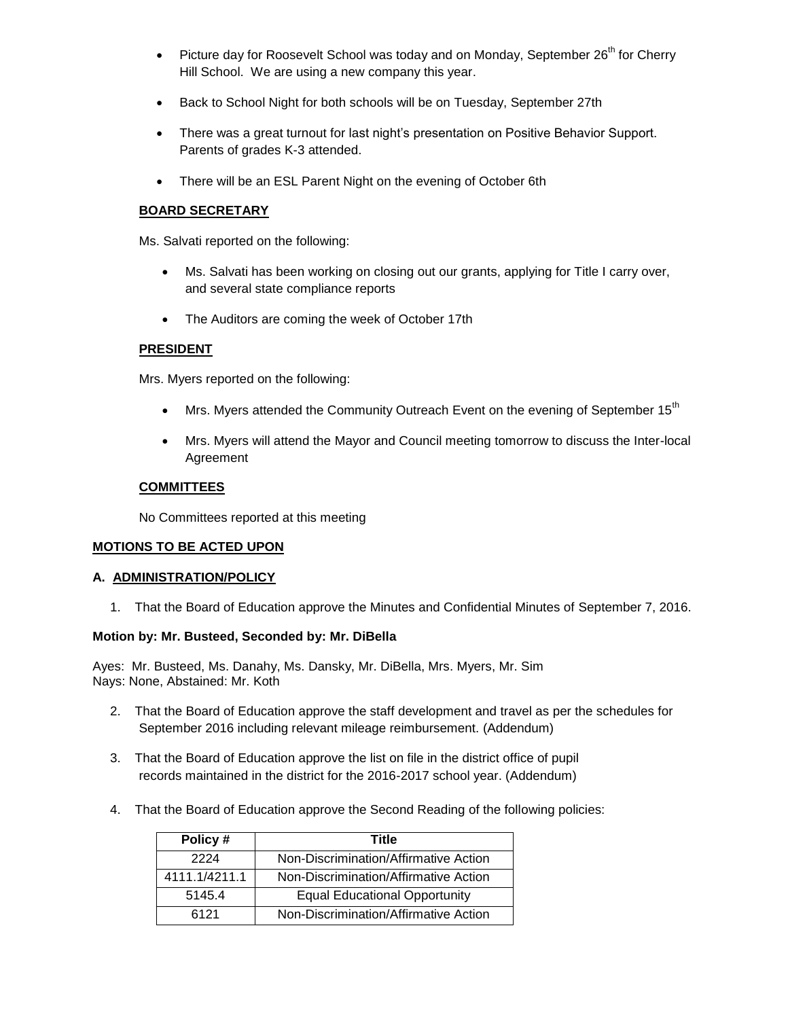- Picture day for Roosevelt School was today and on Monday, September  $26<sup>th</sup>$  for Cherry Hill School. We are using a new company this year.
- Back to School Night for both schools will be on Tuesday, September 27th
- There was a great turnout for last night's presentation on Positive Behavior Support. Parents of grades K-3 attended.
- There will be an ESL Parent Night on the evening of October 6th

## **BOARD SECRETARY**

Ms. Salvati reported on the following:

- Ms. Salvati has been working on closing out our grants, applying for Title I carry over, and several state compliance reports
- The Auditors are coming the week of October 17th

## **PRESIDENT**

Mrs. Myers reported on the following:

- Mrs. Myers attended the Community Outreach Event on the evening of September 15<sup>th</sup>
- Mrs. Myers will attend the Mayor and Council meeting tomorrow to discuss the Inter-local Agreement

## **COMMITTEES**

No Committees reported at this meeting

## **MOTIONS TO BE ACTED UPON**

### **A. ADMINISTRATION/POLICY**

1. That the Board of Education approve the Minutes and Confidential Minutes of September 7, 2016.

## **Motion by: Mr. Busteed, Seconded by: Mr. DiBella**

Ayes: Mr. Busteed, Ms. Danahy, Ms. Dansky, Mr. DiBella, Mrs. Myers, Mr. Sim Nays: None, Abstained: Mr. Koth

- 2. That the Board of Education approve the staff development and travel as per the schedules for September 2016 including relevant mileage reimbursement. (Addendum)
- 3. That the Board of Education approve the list on file in the district office of pupil records maintained in the district for the 2016-2017 school year. (Addendum)
- 4. That the Board of Education approve the Second Reading of the following policies:

| Policy#       | Title                                 |  |
|---------------|---------------------------------------|--|
| 2224          | Non-Discrimination/Affirmative Action |  |
| 4111.1/4211.1 | Non-Discrimination/Affirmative Action |  |
| 5145.4        | <b>Equal Educational Opportunity</b>  |  |
| 6121          | Non-Discrimination/Affirmative Action |  |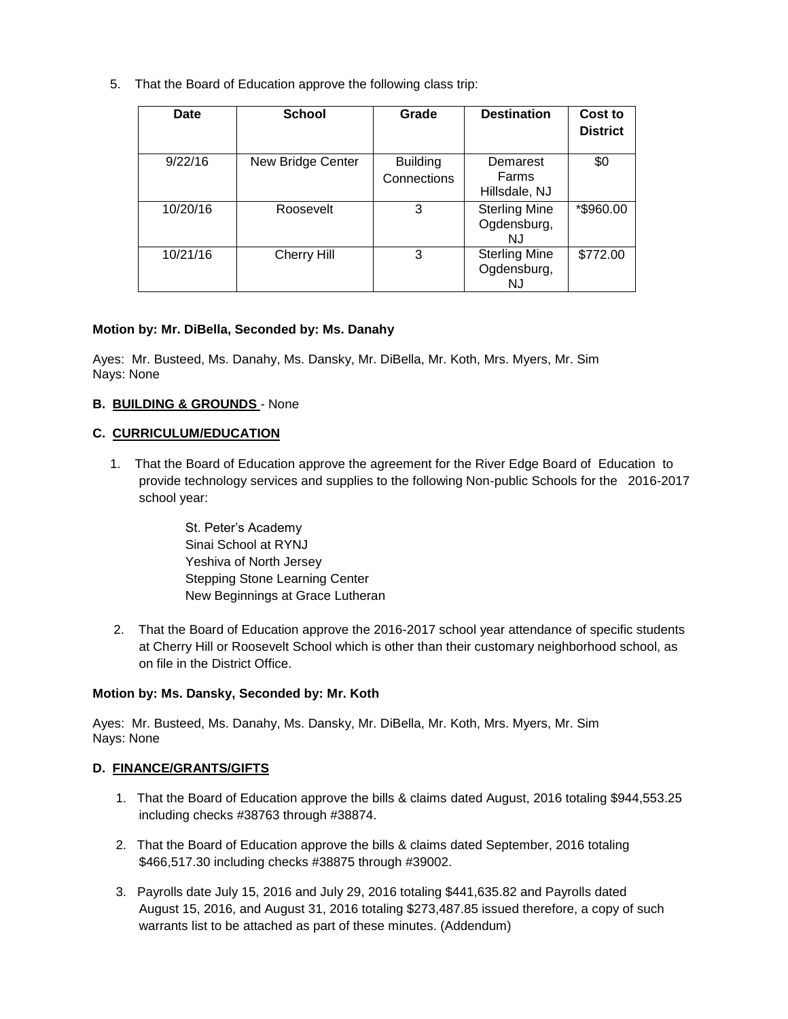5. That the Board of Education approve the following class trip:

| Date     | <b>School</b>     | Grade                          | <b>Destination</b>                         | Cost to<br><b>District</b> |
|----------|-------------------|--------------------------------|--------------------------------------------|----------------------------|
| 9/22/16  | New Bridge Center | <b>Building</b><br>Connections | Demarest<br>Farms<br>Hillsdale, NJ         | \$0                        |
| 10/20/16 | Roosevelt         | 3                              | <b>Sterling Mine</b><br>Ogdensburg,<br>N.J | *\$960.00                  |
| 10/21/16 | Cherry Hill       | 3                              | <b>Sterling Mine</b><br>Ogdensburg,<br>NJ  | \$772.00                   |

### **Motion by: Mr. DiBella, Seconded by: Ms. Danahy**

Ayes: Mr. Busteed, Ms. Danahy, Ms. Dansky, Mr. DiBella, Mr. Koth, Mrs. Myers, Mr. Sim Nays: None

### **B. BUILDING & GROUNDS** - None

### **C. CURRICULUM/EDUCATION**

1. That the Board of Education approve the agreement for the River Edge Board of Education to provide technology services and supplies to the following Non-public Schools for the 2016-2017 school year:

> St. Peter's Academy Sinai School at RYNJ Yeshiva of North Jersey Stepping Stone Learning Center New Beginnings at Grace Lutheran

2. That the Board of Education approve the 2016-2017 school year attendance of specific students at Cherry Hill or Roosevelt School which is other than their customary neighborhood school, as on file in the District Office.

#### **Motion by: Ms. Dansky, Seconded by: Mr. Koth**

Ayes: Mr. Busteed, Ms. Danahy, Ms. Dansky, Mr. DiBella, Mr. Koth, Mrs. Myers, Mr. Sim Nays: None

## **D. FINANCE/GRANTS/GIFTS**

- 1. That the Board of Education approve the bills & claims dated August, 2016 totaling \$944,553.25 including checks #38763 through #38874.
- 2. That the Board of Education approve the bills & claims dated September, 2016 totaling \$466,517.30 including checks #38875 through #39002.
- 3. Payrolls date July 15, 2016 and July 29, 2016 totaling \$441,635.82 and Payrolls dated August 15, 2016, and August 31, 2016 totaling \$273,487.85 issued therefore, a copy of such warrants list to be attached as part of these minutes. (Addendum)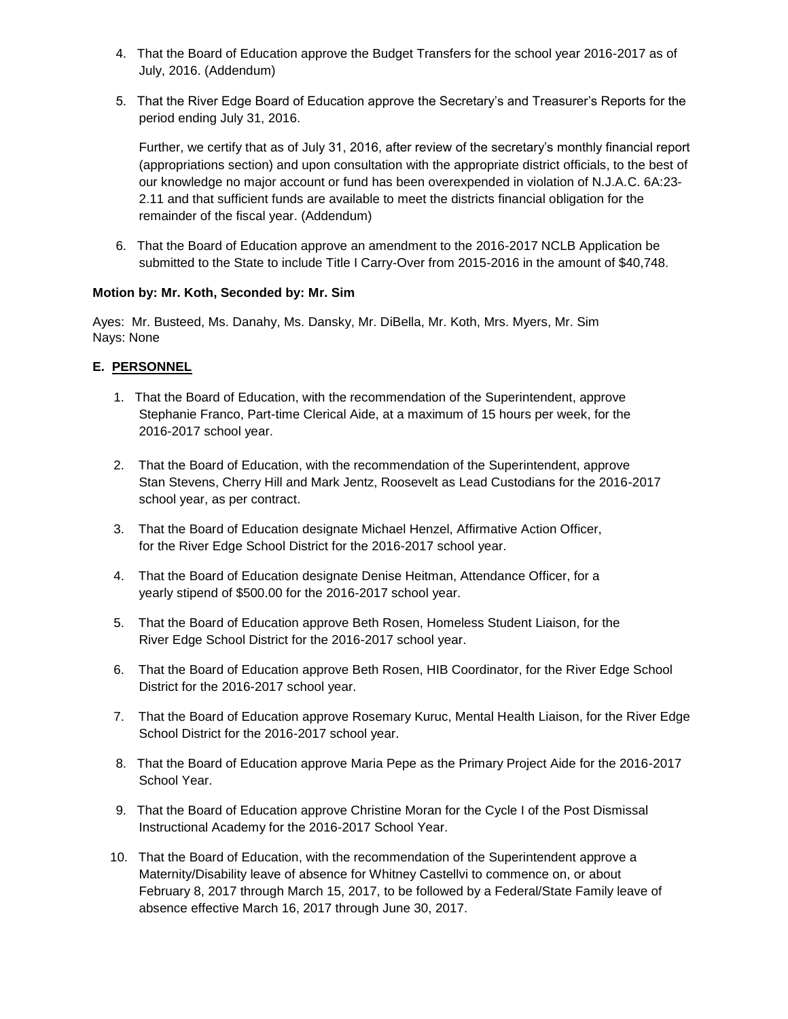- 4. That the Board of Education approve the Budget Transfers for the school year 2016-2017 as of July, 2016. (Addendum)
- 5. That the River Edge Board of Education approve the Secretary's and Treasurer's Reports for the period ending July 31, 2016.

Further, we certify that as of July 31, 2016, after review of the secretary's monthly financial report (appropriations section) and upon consultation with the appropriate district officials, to the best of our knowledge no major account or fund has been overexpended in violation of N.J.A.C. 6A:23- 2.11 and that sufficient funds are available to meet the districts financial obligation for the remainder of the fiscal year. (Addendum)

6. That the Board of Education approve an amendment to the 2016-2017 NCLB Application be submitted to the State to include Title I Carry-Over from 2015-2016 in the amount of \$40,748.

## **Motion by: Mr. Koth, Seconded by: Mr. Sim**

Ayes: Mr. Busteed, Ms. Danahy, Ms. Dansky, Mr. DiBella, Mr. Koth, Mrs. Myers, Mr. Sim Nays: None

# **E. PERSONNEL**

- 1. That the Board of Education, with the recommendation of the Superintendent, approve Stephanie Franco, Part-time Clerical Aide, at a maximum of 15 hours per week, for the 2016-2017 school year.
- 2. That the Board of Education, with the recommendation of the Superintendent, approve Stan Stevens, Cherry Hill and Mark Jentz, Roosevelt as Lead Custodians for the 2016-2017 school year, as per contract.
- 3. That the Board of Education designate Michael Henzel, Affirmative Action Officer, for the River Edge School District for the 2016-2017 school year.
- 4. That the Board of Education designate Denise Heitman, Attendance Officer, for a yearly stipend of \$500.00 for the 2016-2017 school year.
- 5. That the Board of Education approve Beth Rosen, Homeless Student Liaison, for the River Edge School District for the 2016-2017 school year.
- 6. That the Board of Education approve Beth Rosen, HIB Coordinator, for the River Edge School District for the 2016-2017 school year.
- 7. That the Board of Education approve Rosemary Kuruc, Mental Health Liaison, for the River Edge School District for the 2016-2017 school year.
- 8. That the Board of Education approve Maria Pepe as the Primary Project Aide for the 2016-2017 School Year.
- 9. That the Board of Education approve Christine Moran for the Cycle I of the Post Dismissal Instructional Academy for the 2016-2017 School Year.
- 10. That the Board of Education, with the recommendation of the Superintendent approve a Maternity/Disability leave of absence for Whitney Castellvi to commence on, or about February 8, 2017 through March 15, 2017, to be followed by a Federal/State Family leave of absence effective March 16, 2017 through June 30, 2017.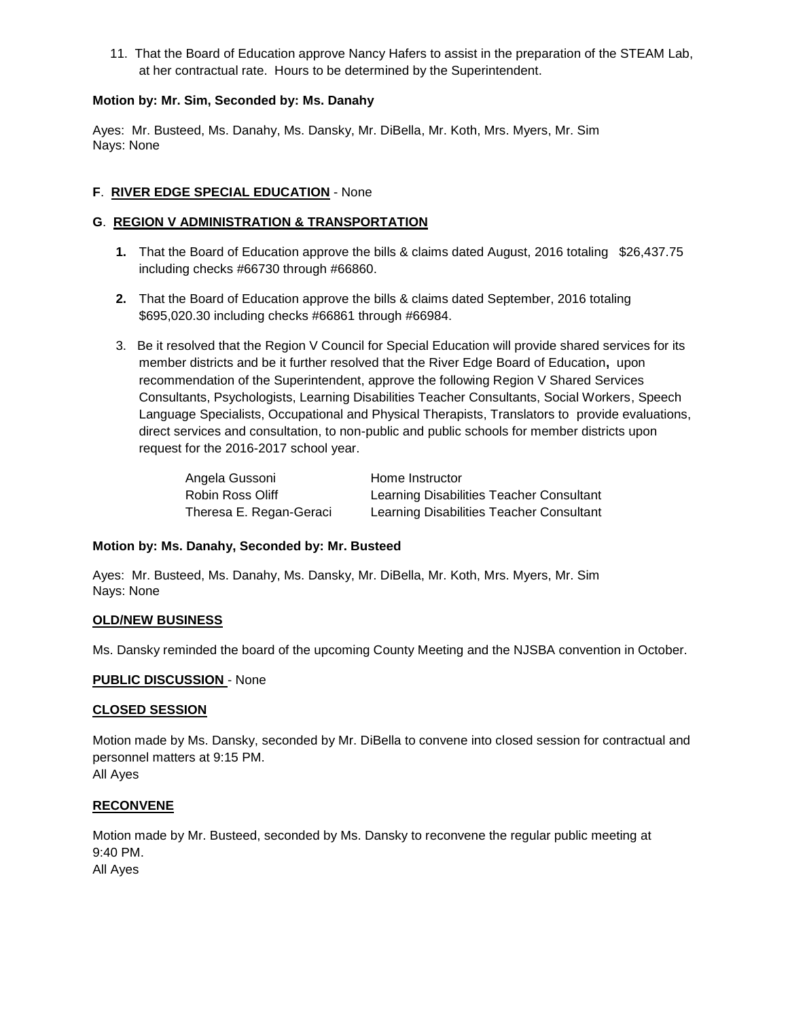11. That the Board of Education approve Nancy Hafers to assist in the preparation of the STEAM Lab, at her contractual rate. Hours to be determined by the Superintendent.

## **Motion by: Mr. Sim, Seconded by: Ms. Danahy**

Ayes: Mr. Busteed, Ms. Danahy, Ms. Dansky, Mr. DiBella, Mr. Koth, Mrs. Myers, Mr. Sim Nays: None

## **F**. **RIVER EDGE SPECIAL EDUCATION** - None

## **G**. **REGION V ADMINISTRATION & TRANSPORTATION**

- **1.** That the Board of Education approve the bills & claims dated August, 2016 totaling \$26,437.75 including checks #66730 through #66860.
- **2.** That the Board of Education approve the bills & claims dated September, 2016 totaling \$695,020.30 including checks #66861 through #66984.
- 3. Be it resolved that the Region V Council for Special Education will provide shared services for its member districts and be it further resolved that the River Edge Board of Education**,** upon recommendation of the Superintendent, approve the following Region V Shared Services Consultants, Psychologists, Learning Disabilities Teacher Consultants, Social Workers, Speech Language Specialists, Occupational and Physical Therapists, Translators to provide evaluations, direct services and consultation, to non-public and public schools for member districts upon request for the 2016-2017 school year.

| Angela Gussoni          | Home Instructor                          |
|-------------------------|------------------------------------------|
| Robin Ross Oliff        | Learning Disabilities Teacher Consultant |
| Theresa E. Regan-Geraci | Learning Disabilities Teacher Consultant |

## **Motion by: Ms. Danahy, Seconded by: Mr. Busteed**

Ayes: Mr. Busteed, Ms. Danahy, Ms. Dansky, Mr. DiBella, Mr. Koth, Mrs. Myers, Mr. Sim Nays: None

## **OLD/NEW BUSINESS**

Ms. Dansky reminded the board of the upcoming County Meeting and the NJSBA convention in October.

## **PUBLIC DISCUSSION** - None

#### **CLOSED SESSION**

Motion made by Ms. Dansky, seconded by Mr. DiBella to convene into closed session for contractual and personnel matters at 9:15 PM.

All Ayes

## **RECONVENE**

Motion made by Mr. Busteed, seconded by Ms. Dansky to reconvene the regular public meeting at 9:40 PM.

All Ayes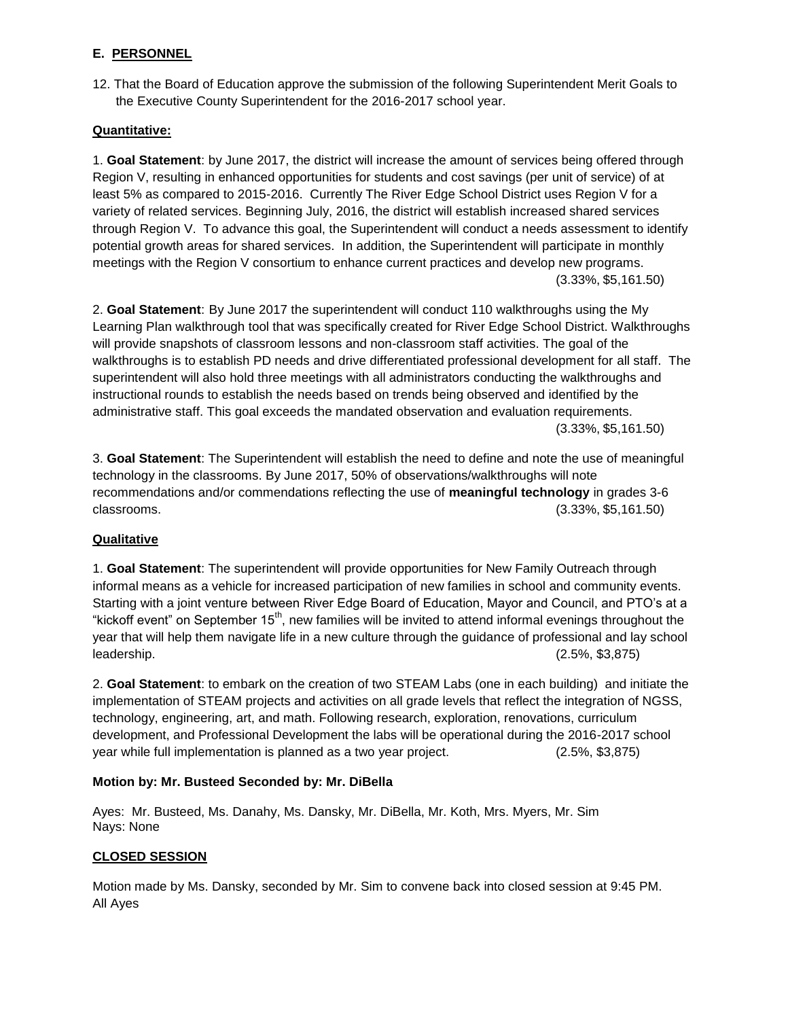## **E. PERSONNEL**

12. That the Board of Education approve the submission of the following Superintendent Merit Goals to the Executive County Superintendent for the 2016-2017 school year.

## **Quantitative:**

1. **Goal Statement**: by June 2017, the district will increase the amount of services being offered through Region V, resulting in enhanced opportunities for students and cost savings (per unit of service) of at least 5% as compared to 2015-2016. Currently The River Edge School District uses Region V for a variety of related services. Beginning July, 2016, the district will establish increased shared services through Region V. To advance this goal, the Superintendent will conduct a needs assessment to identify potential growth areas for shared services. In addition, the Superintendent will participate in monthly meetings with the Region V consortium to enhance current practices and develop new programs. (3.33%, \$5,161.50)

2. **Goal Statement**: By June 2017 the superintendent will conduct 110 walkthroughs using the My Learning Plan walkthrough tool that was specifically created for River Edge School District. Walkthroughs will provide snapshots of classroom lessons and non-classroom staff activities. The goal of the walkthroughs is to establish PD needs and drive differentiated professional development for all staff. The superintendent will also hold three meetings with all administrators conducting the walkthroughs and instructional rounds to establish the needs based on trends being observed and identified by the administrative staff. This goal exceeds the mandated observation and evaluation requirements. (3.33%, \$5,161.50)

3. **Goal Statement**: The Superintendent will establish the need to define and note the use of meaningful technology in the classrooms. By June 2017, 50% of observations/walkthroughs will note recommendations and/or commendations reflecting the use of **meaningful technology** in grades 3-6 classrooms. (3.33%, \$5,161.50)

## **Qualitative**

1. **Goal Statement**: The superintendent will provide opportunities for New Family Outreach through informal means as a vehicle for increased participation of new families in school and community events. Starting with a joint venture between River Edge Board of Education, Mayor and Council, and PTO's at a "kickoff event" on September  $15<sup>th</sup>$ , new families will be invited to attend informal evenings throughout the year that will help them navigate life in a new culture through the guidance of professional and lay school leadership. (2.5%, \$3,875)

2. **Goal Statement**: to embark on the creation of two STEAM Labs (one in each building) and initiate the implementation of STEAM projects and activities on all grade levels that reflect the integration of NGSS, technology, engineering, art, and math. Following research, exploration, renovations, curriculum development, and Professional Development the labs will be operational during the 2016-2017 school year while full implementation is planned as a two year project. (2.5%, \$3,875)

## **Motion by: Mr. Busteed Seconded by: Mr. DiBella**

Ayes: Mr. Busteed, Ms. Danahy, Ms. Dansky, Mr. DiBella, Mr. Koth, Mrs. Myers, Mr. Sim Nays: None

## **CLOSED SESSION**

Motion made by Ms. Dansky, seconded by Mr. Sim to convene back into closed session at 9:45 PM. All Ayes